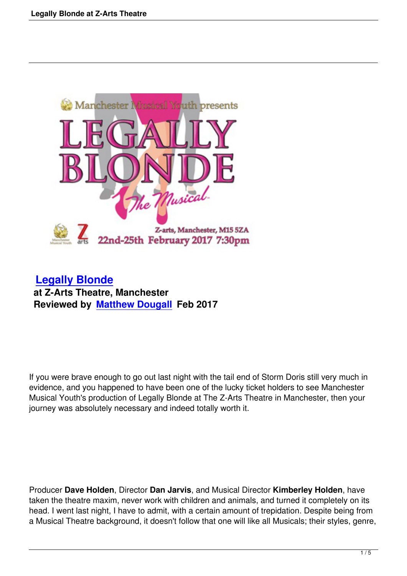

 **Legally Blonde at Z-Arts Theatre, Manchester [Reviewed by Matt](legally-blonde-at-z-arts-theatre.html)hew Dougall Feb 2017**

If you were brave enough to go out last night with the tail end of Storm Doris still very much in evidence, and you happened to have been one of the lucky ticket holders to see Manchester Musical Youth's production of Legally Blonde at The Z-Arts Theatre in Manchester, then your journey was absolutely necessary and indeed totally worth it.

Producer **Dave Holden**, Director **Dan Jarvis**, and Musical Director **Kimberley Holden**, have taken the theatre maxim, never work with children and animals, and turned it completely on its head. I went last night, I have to admit, with a certain amount of trepidation. Despite being from a Musical Theatre background, it doesn't follow that one will like all Musicals; their styles, genre,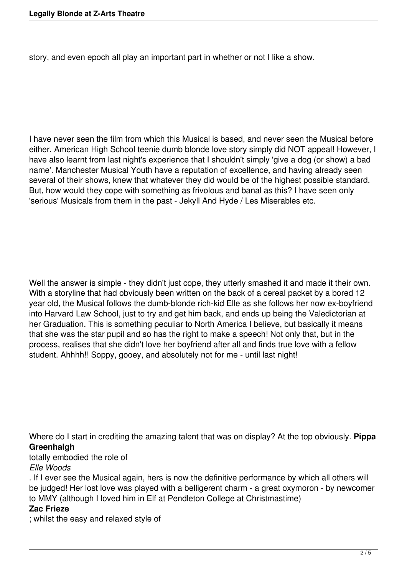story, and even epoch all play an important part in whether or not I like a show.

I have never seen the film from which this Musical is based, and never seen the Musical before either. American High School teenie dumb blonde love story simply did NOT appeal! However, I have also learnt from last night's experience that I shouldn't simply 'give a dog (or show) a bad name'. Manchester Musical Youth have a reputation of excellence, and having already seen several of their shows, knew that whatever they did would be of the highest possible standard. But, how would they cope with something as frivolous and banal as this? I have seen only 'serious' Musicals from them in the past - Jekyll And Hyde / Les Miserables etc.

Well the answer is simple - they didn't just cope, they utterly smashed it and made it their own. With a storyline that had obviously been written on the back of a cereal packet by a bored 12 year old, the Musical follows the dumb-blonde rich-kid Elle as she follows her now ex-boyfriend into Harvard Law School, just to try and get him back, and ends up being the Valedictorian at her Graduation. This is something peculiar to North America I believe, but basically it means that she was the star pupil and so has the right to make a speech! Not only that, but in the process, realises that she didn't love her boyfriend after all and finds true love with a fellow student. Ahhhh!! Soppy, gooey, and absolutely not for me - until last night!

Where do I start in crediting the amazing talent that was on display? At the top obviously. **Pippa Greenhalgh**

totally embodied the role of

*Elle Woods*

. If I ever see the Musical again, hers is now the definitive performance by which all others will be judged! Her lost love was played with a belligerent charm - a great oxymoron - by newcomer to MMY (although I loved him in Elf at Pendleton College at Christmastime)

# **Zac Frieze**

; whilst the easy and relaxed style of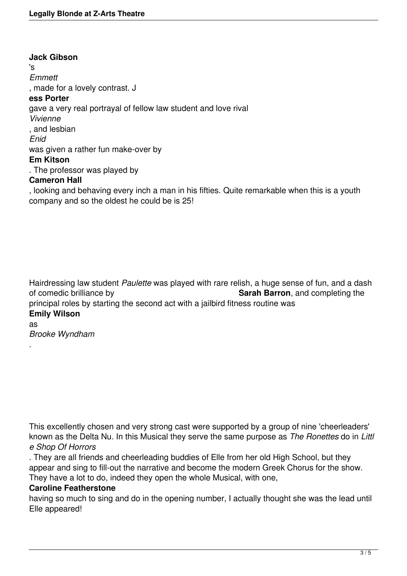**Jack Gibson** 's *Emmett* , made for a lovely contrast. J **ess Porter** gave a very real portrayal of fellow law student and love rival *Vivienne* , and lesbian *Enid* was given a rather fun make-over by **Em Kitson** . The professor was played by **Cameron Hall**

, looking and behaving every inch a man in his fifties. Quite remarkable when this is a youth company and so the oldest he could be is 25!

Hairdressing law student *Paulette* was played with rare relish, a huge sense of fun, and a dash of comedic brilliance by **Sarah Barron**, and completing the principal roles by starting the second act with a jailbird fitness routine was **Emily Wilson** as

*Brooke Wyndham*

.

This excellently chosen and very strong cast were supported by a group of nine 'cheerleaders' known as the Delta Nu. In this Musical they serve the same purpose as *The Ronettes* do in *Littl e Shop Of Horrors*

. They are all friends and cheerleading buddies of Elle from her old High School, but they appear and sing to fill-out the narrative and become the modern Greek Chorus for the show. They have a lot to do, indeed they open the whole Musical, with one,

#### **Caroline Featherstone**

having so much to sing and do in the opening number, I actually thought she was the lead until Elle appeared!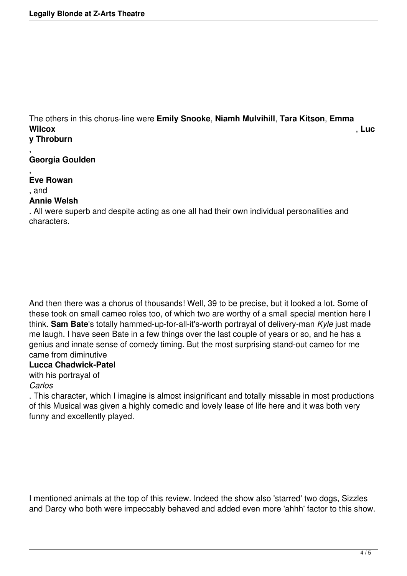The others in this chorus-line were **Emily Snooke**, **Niamh Mulvihill**, **Tara Kitson**, **Emma Wilcox** , **Luc y Throburn**

#### , **Georgia Goulden**

, **Eve Rowan** , and

### **Annie Welsh**

. All were superb and despite acting as one all had their own individual personalities and characters.

And then there was a chorus of thousands! Well, 39 to be precise, but it looked a lot. Some of these took on small cameo roles too, of which two are worthy of a small special mention here I think. **Sam Bate**'s totally hammed-up-for-all-it's-worth portrayal of delivery-man *Kyle* just made me laugh. I have seen Bate in a few things over the last couple of years or so, and he has a genius and innate sense of comedy timing. But the most surprising stand-out cameo for me came from diminutive

# **Lucca Chadwick-Patel**

with his portrayal of

# *Carlos*

. This character, which I imagine is almost insignificant and totally missable in most productions of this Musical was given a highly comedic and lovely lease of life here and it was both very funny and excellently played.

I mentioned animals at the top of this review. Indeed the show also 'starred' two dogs, Sizzles and Darcy who both were impeccably behaved and added even more 'ahhh' factor to this show.